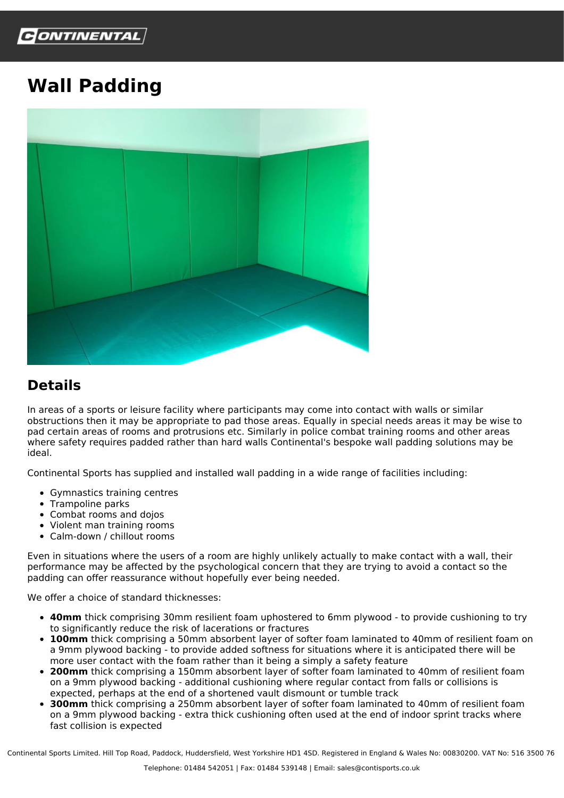

## **Wall Padding**



## **Details**

In areas of a sports or leisure facility where participants may come into contact with walls or similar obstructions then it may be appropriate to pad those areas. Equally in special needs areas it may be wise to pad certain areas of rooms and protrusions etc. Similarly in police combat training rooms and other areas where safety requires padded rather than hard walls Continental's bespoke wall padding solutions may be ideal.

Continental Sports has supplied and installed wall padding in a wide range of facilities including:

- Gymnastics training centres
- Trampoline parks
- Combat rooms and dojos
- Violent man training rooms
- Calm-down / chillout rooms

Even in situations where the users of a room are highly unlikely actually to make contact with a wall, their performance may be affected by the psychological concern that they are trying to avoid a contact so the padding can offer reassurance without hopefully ever being needed.

We offer a choice of standard thicknesses:

- **40mm** thick comprising 30mm resilient foam uphostered to 6mm plywood to provide cushioning to try to significantly reduce the risk of lacerations or fractures
- **100mm** thick comprising a 50mm absorbent layer of softer foam laminated to 40mm of resilient foam on a 9mm plywood backing - to provide added softness for situations where it is anticipated there will be more user contact with the foam rather than it being a simply a safety feature
- **200mm** thick comprising a 150mm absorbent layer of softer foam laminated to 40mm of resilient foam on a 9mm plywood backing - additional cushioning where regular contact from falls or collisions is expected, perhaps at the end of a shortened vault dismount or tumble track
- **300mm** thick comprising a 250mm absorbent layer of softer foam laminated to 40mm of resilient foam on a 9mm plywood backing - extra thick cushioning often used at the end of indoor sprint tracks where fast collision is expected

Continental Sports Limited. Hill Top Road, Paddock, Huddersfield, West Yorkshire HD1 4SD. Registered in England & Wales No: 00830200. VAT No: 516 3500 76